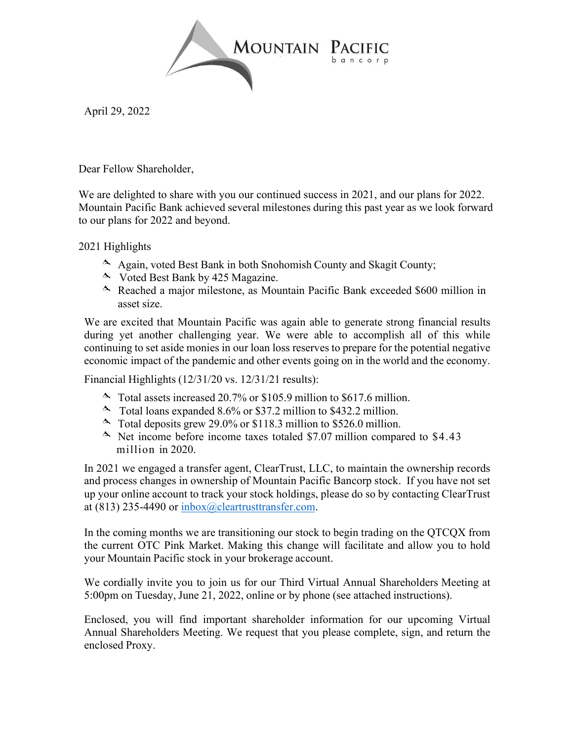

April 29, 2022

Dear Fellow Shareholder,

We are delighted to share with you our continued success in 2021, and our plans for 2022. Mountain Pacific Bank achieved several milestones during this past year as we look forward to our plans for 2022 and beyond.

2021 Highlights

- Again, voted Best Bank in both Snohomish County and Skagit County;
- $\sim$  Voted Best Bank by 425 Magazine.
- Reached a major milestone, as Mountain Pacific Bank exceeded \$600 million in asset size.

We are excited that Mountain Pacific was again able to generate strong financial results during yet another challenging year. We were able to accomplish all of this while continuing to set aside monies in our loan loss reserves to prepare for the potential negative economic impact of the pandemic and other events going on in the world and the economy.

Financial Highlights (12/31/20 vs. 12/31/21 results):

- $\sim$  Total assets increased 20.7% or \$105.9 million to \$617.6 million.
- Total loans expanded 8.6% or \$37.2 million to \$432.2 million.
- $\sim$  Total deposits grew 29.0% or \$118.3 million to \$526.0 million.
- $\sim$  Net income before income taxes totaled \$7.07 million compared to \$4.43 million in 2020.

In 2021 we engaged a transfer agent, ClearTrust, LLC, to maintain the ownership records and process changes in ownership of Mountain Pacific Bancorp stock. If you have not set up your online account to track your stock holdings, please do so by contacting ClearTrust at (813) 235-4490 or inbox@cleartrusttransfer.com.

In the coming months we are transitioning our stock to begin trading on the QTCQX from the current OTC Pink Market. Making this change will facilitate and allow you to hold your Mountain Pacific stock in your brokerage account.

We cordially invite you to join us for our Third Virtual Annual Shareholders Meeting at 5:00pm on Tuesday, June 21, 2022, online or by phone (see attached instructions).

Enclosed, you will find important shareholder information for our upcoming Virtual Annual Shareholders Meeting. We request that you please complete, sign, and return the enclosed Proxy.